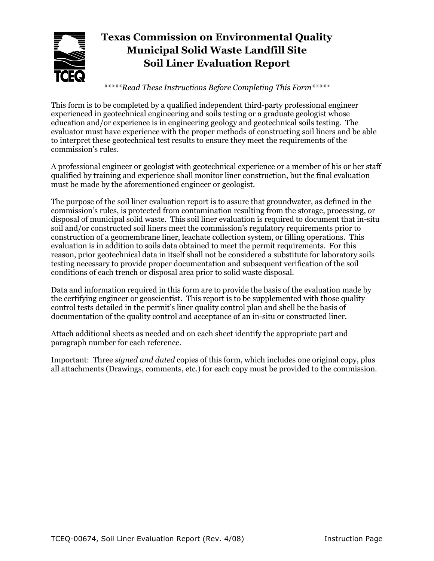

# **Texas Commission on Environmental Quality Municipal Solid Waste Landfill Site Soil Liner Evaluation Report**

*\*\*\*\*\*Read These Instructions Before Completing This Form\*\*\*\*\**

This form is to be completed by a qualified independent third-party professional engineer experienced in geotechnical engineering and soils testing or a graduate geologist whose education and/or experience is in engineering geology and geotechnical soils testing. The evaluator must have experience with the proper methods of constructing soil liners and be able to interpret these geotechnical test results to ensure they meet the requirements of the commission's rules.

A professional engineer or geologist with geotechnical experience or a member of his or her staff qualified by training and experience shall monitor liner construction, but the final evaluation must be made by the aforementioned engineer or geologist.

The purpose of the soil liner evaluation report is to assure that groundwater, as defined in the commission's rules, is protected from contamination resulting from the storage, processing, or disposal of municipal solid waste. This soil liner evaluation is required to document that in-situ soil and/or constructed soil liners meet the commission's regulatory requirements prior to construction of a geomembrane liner, leachate collection system, or filling operations. This evaluation is in addition to soils data obtained to meet the permit requirements. For this reason, prior geotechnical data in itself shall not be considered a substitute for laboratory soils testing necessary to provide proper documentation and subsequent verification of the soil conditions of each trench or disposal area prior to solid waste disposal.

Data and information required in this form are to provide the basis of the evaluation made by the certifying engineer or geoscientist. This report is to be supplemented with those quality control tests detailed in the permit's liner quality control plan and shell be the basis of documentation of the quality control and acceptance of an in-situ or constructed liner.

Attach additional sheets as needed and on each sheet identify the appropriate part and paragraph number for each reference.

Important: Three *signed and dated* copies of this form, which includes one original copy, plus all attachments (Drawings, comments, etc.) for each copy must be provided to the commission.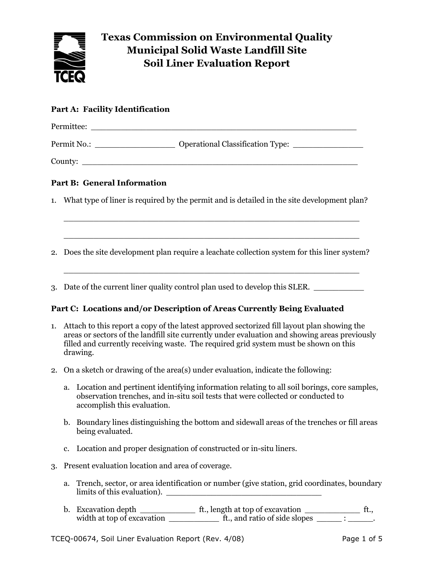

# **Texas Commission on Environmental Quality Municipal Solid Waste Landfill Site Soil Liner Evaluation Report**

## **Part A: Facility Identification**

| Permittee:  |                                         |
|-------------|-----------------------------------------|
| Permit No.: | <b>Operational Classification Type:</b> |
| County:     |                                         |

## **Part B: General Information**

1. What type of liner is required by the permit and is detailed in the site development plan?

\_\_\_\_\_\_\_\_\_\_\_\_\_\_\_\_\_\_\_\_\_\_\_\_\_\_\_\_\_\_\_\_\_\_\_\_\_\_\_\_\_\_\_\_\_\_\_\_\_\_\_\_\_\_\_\_\_\_\_

\_\_\_\_\_\_\_\_\_\_\_\_\_\_\_\_\_\_\_\_\_\_\_\_\_\_\_\_\_\_\_\_\_\_\_\_\_\_\_\_\_\_\_\_\_\_\_\_\_\_\_\_\_\_\_\_\_\_\_

2. Does the site development plan require a leachate collection system for this liner system?

\_\_\_\_\_\_\_\_\_\_\_\_\_\_\_\_\_\_\_\_\_\_\_\_\_\_\_\_\_\_\_\_\_\_\_\_\_\_\_\_\_\_\_\_\_\_\_\_\_\_\_\_\_\_\_\_\_\_\_

3. Date of the current liner quality control plan used to develop this SLER. \_\_\_\_\_\_\_\_\_\_

#### **Part C: Locations and/or Description of Areas Currently Being Evaluated**

- 1. Attach to this report a copy of the latest approved sectorized fill layout plan showing the areas or sectors of the landfill site currently under evaluation and showing areas previously filled and currently receiving waste. The required grid system must be shown on this drawing.
- 2. On a sketch or drawing of the area(s) under evaluation, indicate the following:
	- a. Location and pertinent identifying information relating to all soil borings, core samples, observation trenches, and in-situ soil tests that were collected or conducted to accomplish this evaluation.
	- b. Boundary lines distinguishing the bottom and sidewall areas of the trenches or fill areas being evaluated.
	- c. Location and proper designation of constructed or in-situ liners.
- 3. Present evaluation location and area of coverage.
	- a. Trench, sector, or area identification or number (give station, grid coordinates, boundary limits of this evaluation). \_\_\_\_\_\_\_\_\_\_\_\_\_\_\_\_\_\_\_\_\_\_\_\_\_\_\_\_\_\_\_
	- b. Excavation depth \_\_\_\_\_\_\_\_\_\_\_ ft., length at top of excavation \_\_\_\_\_\_\_\_\_\_\_ ft., width at top of excavation \_\_\_\_\_\_\_\_\_\_\_\_\_\_\_\_\_ ft., and ratio of side slopes \_\_\_\_\_\_\_ : \_\_\_\_\_\_.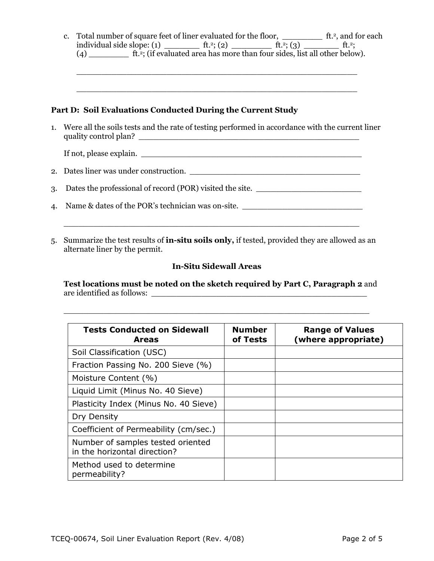|    |                                                                                                                             | c. Total number of square feet of liner evaluated for the floor, _______________ ft. <sup>2</sup> , and for each                                                                                                                  |  |  |  |  |  |
|----|-----------------------------------------------------------------------------------------------------------------------------|-----------------------------------------------------------------------------------------------------------------------------------------------------------------------------------------------------------------------------------|--|--|--|--|--|
|    |                                                                                                                             | Part D: Soil Evaluations Conducted During the Current Study                                                                                                                                                                       |  |  |  |  |  |
|    | 1. Were all the soils tests and the rate of testing performed in accordance with the current liner<br>quality control plan? |                                                                                                                                                                                                                                   |  |  |  |  |  |
|    |                                                                                                                             |                                                                                                                                                                                                                                   |  |  |  |  |  |
|    |                                                                                                                             |                                                                                                                                                                                                                                   |  |  |  |  |  |
| 3. | Dates the professional of record (POR) visited the site.                                                                    |                                                                                                                                                                                                                                   |  |  |  |  |  |
| 4. |                                                                                                                             | Name & dates of the POR's technician was on-site. _______________________________                                                                                                                                                 |  |  |  |  |  |
| 5. |                                                                                                                             | <u> 1989 - Johann John Harry Barn, mars and deutscher Schwarzer († 1989)</u><br>Summarize the test results of <b>in-situ soils only</b> , if tested, provided they are allowed as an<br>alternate liner by the permit.            |  |  |  |  |  |
|    | <b>In-Situ Sidewall Areas</b>                                                                                               |                                                                                                                                                                                                                                   |  |  |  |  |  |
|    |                                                                                                                             | $\mathbf{a}$ . The contract of the contract of the contract of the contract of the contract of the contract of the contract of the contract of the contract of the contract of the contract of the contract of the contract of th |  |  |  |  |  |

**Test locations must be noted on the sketch required by Part C, Paragraph 2** and are identified as follows: \_\_\_\_\_\_\_\_\_\_\_\_\_\_\_\_\_\_\_\_\_\_\_\_\_\_\_\_\_\_\_\_\_\_\_\_\_\_\_\_\_\_\_

 $\frac{1}{2}$  , and the contribution of the contribution of the contribution of the contribution of the contribution of the contribution of the contribution of the contribution of the contribution of the contribution of the c

| <b>Tests Conducted on Sidewall</b><br><b>Areas</b>                | <b>Number</b><br>of Tests | <b>Range of Values</b><br>(where appropriate) |
|-------------------------------------------------------------------|---------------------------|-----------------------------------------------|
| Soil Classification (USC)                                         |                           |                                               |
| Fraction Passing No. 200 Sieve (%)                                |                           |                                               |
| Moisture Content (%)                                              |                           |                                               |
| Liquid Limit (Minus No. 40 Sieve)                                 |                           |                                               |
| Plasticity Index (Minus No. 40 Sieve)                             |                           |                                               |
| Dry Density                                                       |                           |                                               |
| Coefficient of Permeability (cm/sec.)                             |                           |                                               |
| Number of samples tested oriented<br>in the horizontal direction? |                           |                                               |
| Method used to determine<br>permeability?                         |                           |                                               |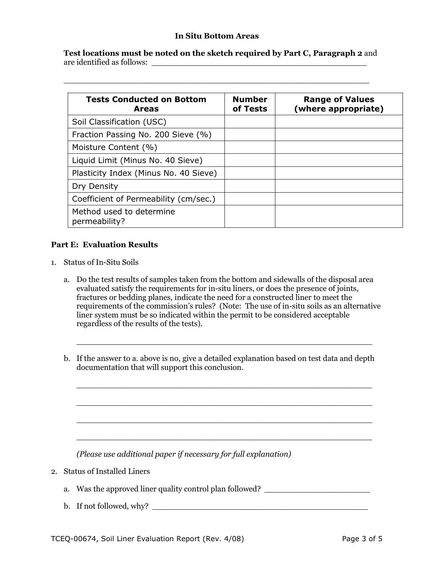#### **In Situ Bottom Areas**

**Test locations must be noted on the sketch required by Part C, Paragraph 2** and are identified as follows: \_\_\_\_\_\_\_\_\_\_\_\_\_\_\_\_\_\_\_\_\_\_\_\_\_\_\_\_\_\_\_\_\_\_\_\_\_\_\_\_\_\_\_

\_\_\_\_\_\_\_\_\_\_\_\_\_\_\_\_\_\_\_\_\_\_\_\_\_\_\_\_\_\_\_\_\_\_\_\_\_\_\_\_\_\_\_\_\_\_\_\_\_\_\_\_\_\_\_\_\_\_\_\_\_

| <b>Tests Conducted on Bottom</b><br><b>Areas</b> | <b>Number</b><br>of Tests | <b>Range of Values</b><br>(where appropriate) |
|--------------------------------------------------|---------------------------|-----------------------------------------------|
| Soil Classification (USC)                        |                           |                                               |
| Fraction Passing No. 200 Sieve (%)               |                           |                                               |
| Moisture Content (%)                             |                           |                                               |
| Liquid Limit (Minus No. 40 Sieve)                |                           |                                               |
| Plasticity Index (Minus No. 40 Sieve)            |                           |                                               |
| Dry Density                                      |                           |                                               |
| Coefficient of Permeability (cm/sec.)            |                           |                                               |
| Method used to determine<br>permeability?        |                           |                                               |

#### **Part E: Evaluation Results**

- 1. Status of In-Situ Soils
	- a. Do the test results of samples taken from the bottom and sidewalls of the disposal area evaluated satisfy the requirements for in-situ liners, or does the presence of joints, fractures or bedding planes, indicate the need for a constructed liner to meet the requirements of the commission's rules? (Note: The use of in-situ soils as an alternative liner system must be so indicated within the permit to be considered acceptable regardless of the results of the tests).
	- b. If the answer to a. above is no, give a detailed explanation based on test data and depth documentation that will support this conclusion.

\_\_\_\_\_\_\_\_\_\_\_\_\_\_\_\_\_\_\_\_\_\_\_\_\_\_\_\_\_\_\_\_\_\_\_\_\_\_\_\_\_\_\_\_\_\_\_\_\_\_\_\_\_\_\_\_\_\_\_

\_\_\_\_\_\_\_\_\_\_\_\_\_\_\_\_\_\_\_\_\_\_\_\_\_\_\_\_\_\_\_\_\_\_\_\_\_\_\_\_\_\_\_\_\_\_\_\_\_\_\_\_\_\_\_\_\_\_\_

\_\_\_\_\_\_\_\_\_\_\_\_\_\_\_\_\_\_\_\_\_\_\_\_\_\_\_\_\_\_\_\_\_\_\_\_\_\_\_\_\_\_\_\_\_\_\_\_\_\_\_\_\_\_\_\_\_\_\_

\_\_\_\_\_\_\_\_\_\_\_\_\_\_\_\_\_\_\_\_\_\_\_\_\_\_\_\_\_\_\_\_\_\_\_\_\_\_\_\_\_\_\_\_\_\_\_\_\_\_\_\_\_\_\_\_\_\_\_

\_\_\_\_\_\_\_\_\_\_\_\_\_\_\_\_\_\_\_\_\_\_\_\_\_\_\_\_\_\_\_\_\_\_\_\_\_\_\_\_\_\_\_\_\_\_\_\_\_\_\_\_\_\_\_\_\_\_\_

*(Please use additional paper if necessary for full explanation)*

- 2. Status of Installed Liners
	- a. Was the approved liner quality control plan followed?
	- b. If not followed, why?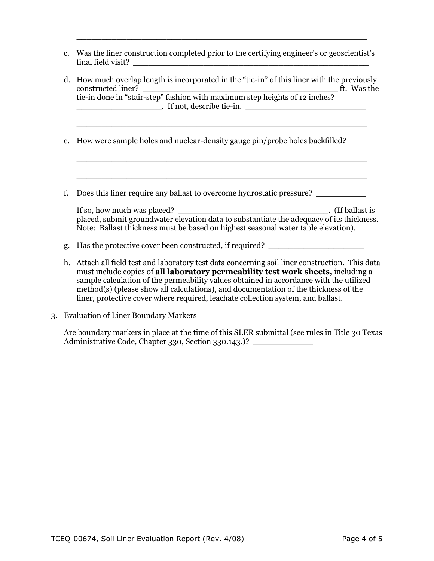c. Was the liner construction completed prior to the certifying engineer's or geoscientist's  $final$  field visit?

\_\_\_\_\_\_\_\_\_\_\_\_\_\_\_\_\_\_\_\_\_\_\_\_\_\_\_\_\_\_\_\_\_\_\_\_\_\_\_\_\_\_\_\_\_\_\_\_\_\_\_\_\_\_\_\_\_\_

d. How much overlap length is incorporated in the "tie-in" of this liner with the previously  $\text{constructed linear?}\footnotesize\begin{picture}(150,170)(0,0) \put(0,0){\vector(1,0){100}} \put(150,0){\vector(1,0){100}} \put(150,0){\vector(1,0){100}} \put(150,0){\vector(1,0){100}} \put(150,0){\vector(1,0){100}} \put(150,0){\vector(1,0){100}} \put(150,0){\vector(1,0){100}} \put(150,0){\vector(1,0){100}} \put(150,0){\vector(1,0){100}} \put(150,0){\vector(1,0$ tie-in done in "stair-step" fashion with maximum step heights of 12 inches? \_\_\_\_\_\_\_\_\_\_\_\_\_\_\_\_\_. If not, describe tie-in. \_\_\_\_\_\_\_\_\_\_\_\_\_\_\_\_\_\_\_\_\_\_\_\_

\_\_\_\_\_\_\_\_\_\_\_\_\_\_\_\_\_\_\_\_\_\_\_\_\_\_\_\_\_\_\_\_\_\_\_\_\_\_\_\_\_\_\_\_\_\_\_\_\_\_\_\_\_\_\_\_\_\_

 $\overline{a_1}$  , and the set of the set of the set of the set of the set of the set of the set of the set of the set of the set of the set of the set of the set of the set of the set of the set of the set of the set of the se

\_\_\_\_\_\_\_\_\_\_\_\_\_\_\_\_\_\_\_\_\_\_\_\_\_\_\_\_\_\_\_\_\_\_\_\_\_\_\_\_\_\_\_\_\_\_\_\_\_\_\_\_\_\_\_\_\_\_

- e. How were sample holes and nuclear-density gauge pin/probe holes backfilled?
- f. Does this liner require any ballast to overcome hydrostatic pressure? \_\_\_\_\_\_\_\_\_\_

| If so, how much was placed?                                                              | . (If ballast is |
|------------------------------------------------------------------------------------------|------------------|
| placed, submit groundwater elevation data to substantiate the adequacy of its thickness. |                  |
| Note: Ballast thickness must be based on highest seasonal water table elevation).        |                  |

- g. Has the protective cover been constructed, if required?
- h. Attach all field test and laboratory test data concerning soil liner construction. This data must include copies of **all laboratory permeability test work sheets,** including a sample calculation of the permeability values obtained in accordance with the utilized method(s) (please show all calculations), and documentation of the thickness of the liner, protective cover where required, leachate collection system, and ballast.
- 3. Evaluation of Liner Boundary Markers

Are boundary markers in place at the time of this SLER submittal (see rules in Title 30 Texas Administrative Code, Chapter 330, Section 330.143.)?